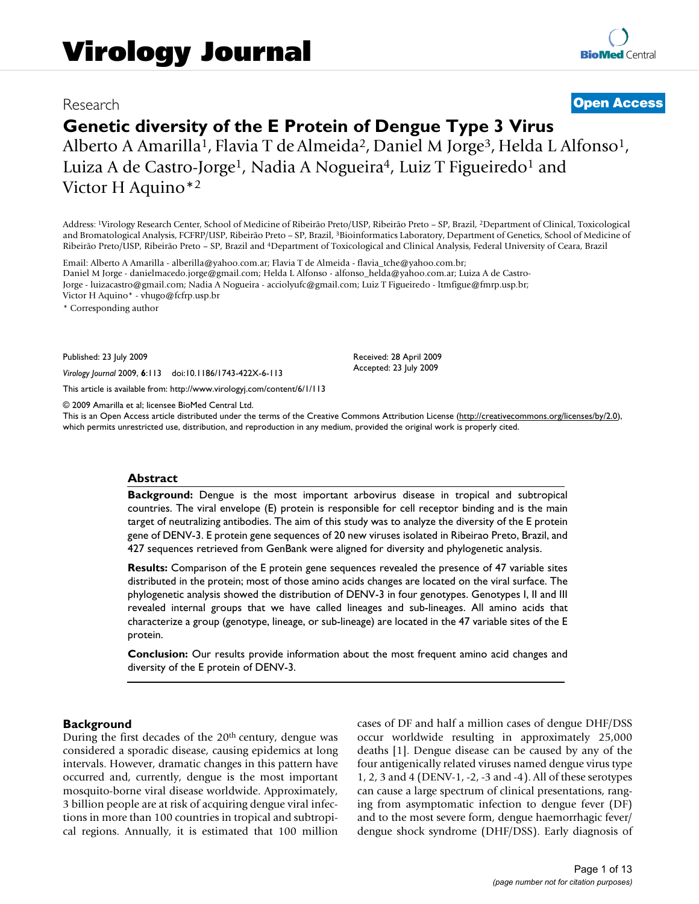# Research **[Open Access](http://www.biomedcentral.com/info/about/charter/)**

# **Genetic diversity of the E Protein of Dengue Type 3 Virus**

Alberto A Amarilla<sup>1</sup>, Flavia T de Almeida<sup>2</sup>, Daniel M Jorge<sup>3</sup>, Helda L Alfonso<sup>1</sup>, Luiza A de Castro-Jorge<sup>1</sup>, Nadia A Nogueira<sup>4</sup>, Luiz T Figueiredo<sup>1</sup> and Victor H Aquino\*2

Address: 1Virology Research Center, School of Medicine of Ribeirão Preto/USP, Ribeirão Preto – SP, Brazil, 2Department of Clinical, Toxicological and Bromatological Analysis, FCFRP/USP, Ribeirão Preto – SP, Brazil, 3Bioinformatics Laboratory, Department of Genetics, School of Medicine of Ribeirão Preto/USP, Ribeirão Preto – SP, Brazil and 4Department of Toxicological and Clinical Analysis, Federal University of Ceara, Brazil

Email: Alberto A Amarilla - alberilla@yahoo.com.ar; Flavia T de Almeida - flavia\_tche@yahoo.com.br; Daniel M Jorge - danielmacedo.jorge@gmail.com; Helda L Alfonso - alfonso\_helda@yahoo.com.ar; Luiza A de Castro-Jorge - luizacastro@gmail.com; Nadia A Nogueira - acciolyufc@gmail.com; Luiz T Figueiredo - ltmfigue@fmrp.usp.br; Victor H Aquino\* - vhugo@fcfrp.usp.br

\* Corresponding author

Published: 23 July 2009

*Virology Journal* 2009, **6**:113 doi:10.1186/1743-422X-6-113

[This article is available from: http://www.virologyj.com/content/6/1/113](http://www.virologyj.com/content/6/1/113)

© 2009 Amarilla et al; licensee BioMed Central Ltd.

This is an Open Access article distributed under the terms of the Creative Commons Attribution License [\(http://creativecommons.org/licenses/by/2.0\)](http://creativecommons.org/licenses/by/2.0), which permits unrestricted use, distribution, and reproduction in any medium, provided the original work is properly cited.

Received: 28 April 2009 Accepted: 23 July 2009

#### **Abstract**

**Background:** Dengue is the most important arbovirus disease in tropical and subtropical countries. The viral envelope (E) protein is responsible for cell receptor binding and is the main target of neutralizing antibodies. The aim of this study was to analyze the diversity of the E protein gene of DENV-3. E protein gene sequences of 20 new viruses isolated in Ribeirao Preto, Brazil, and 427 sequences retrieved from GenBank were aligned for diversity and phylogenetic analysis.

**Results:** Comparison of the E protein gene sequences revealed the presence of 47 variable sites distributed in the protein; most of those amino acids changes are located on the viral surface. The phylogenetic analysis showed the distribution of DENV-3 in four genotypes. Genotypes I, II and III revealed internal groups that we have called lineages and sub-lineages. All amino acids that characterize a group (genotype, lineage, or sub-lineage) are located in the 47 variable sites of the E protein.

**Conclusion:** Our results provide information about the most frequent amino acid changes and diversity of the E protein of DENV-3.

# **Background**

During the first decades of the  $20<sup>th</sup>$  century, dengue was considered a sporadic disease, causing epidemics at long intervals. However, dramatic changes in this pattern have occurred and, currently, dengue is the most important mosquito-borne viral disease worldwide. Approximately, 3 billion people are at risk of acquiring dengue viral infections in more than 100 countries in tropical and subtropical regions. Annually, it is estimated that 100 million cases of DF and half a million cases of dengue DHF/DSS occur worldwide resulting in approximately 25,000 deaths [1]. Dengue disease can be caused by any of the four antigenically related viruses named dengue virus type 1, 2, 3 and 4 (DENV-1, -2, -3 and -4). All of these serotypes can cause a large spectrum of clinical presentations, ranging from asymptomatic infection to dengue fever (DF) and to the most severe form, dengue haemorrhagic fever/ dengue shock syndrome (DHF/DSS). Early diagnosis of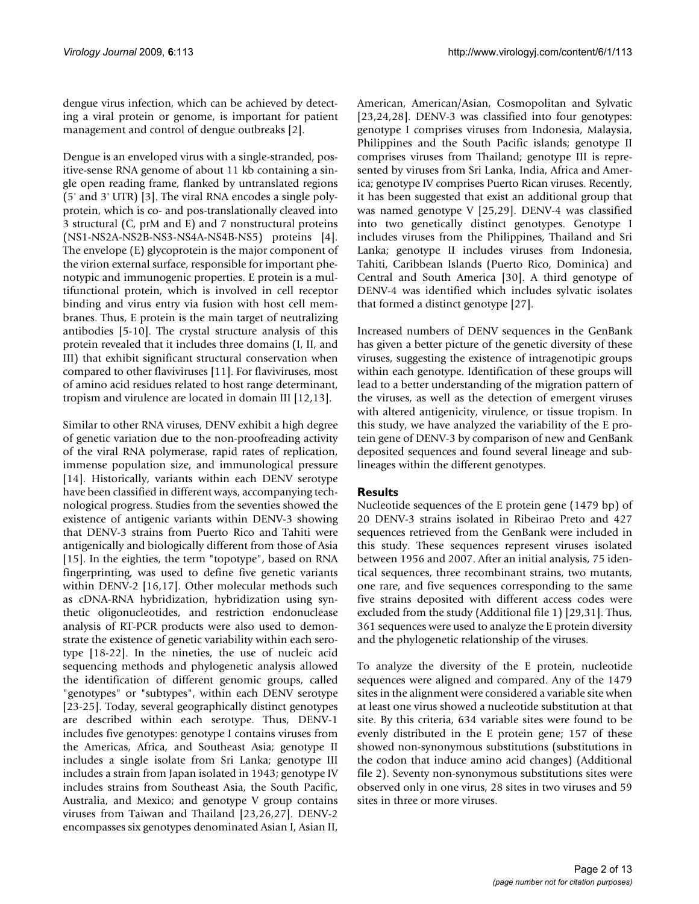dengue virus infection, which can be achieved by detecting a viral protein or genome, is important for patient management and control of dengue outbreaks [2].

Dengue is an enveloped virus with a single-stranded, positive-sense RNA genome of about 11 kb containing a single open reading frame, flanked by untranslated regions (5' and 3' UTR) [3]. The viral RNA encodes a single polyprotein, which is co- and pos-translationally cleaved into 3 structural (C, prM and E) and 7 nonstructural proteins (NS1-NS2A-NS2B-NS3-NS4A-NS4B-NS5) proteins [4]. The envelope (E) glycoprotein is the major component of the virion external surface, responsible for important phenotypic and immunogenic properties. E protein is a multifunctional protein, which is involved in cell receptor binding and virus entry via fusion with host cell membranes. Thus, E protein is the main target of neutralizing antibodies [5-10]. The crystal structure analysis of this protein revealed that it includes three domains (I, II, and III) that exhibit significant structural conservation when compared to other flaviviruses [11]. For flaviviruses, most of amino acid residues related to host range determinant, tropism and virulence are located in domain III [12,13].

Similar to other RNA viruses, DENV exhibit a high degree of genetic variation due to the non-proofreading activity of the viral RNA polymerase, rapid rates of replication, immense population size, and immunological pressure [14]. Historically, variants within each DENV serotype have been classified in different ways, accompanying technological progress. Studies from the seventies showed the existence of antigenic variants within DENV-3 showing that DENV-3 strains from Puerto Rico and Tahiti were antigenically and biologically different from those of Asia [15]. In the eighties, the term "topotype", based on RNA fingerprinting, was used to define five genetic variants within DENV-2 [16,17]. Other molecular methods such as cDNA-RNA hybridization, hybridization using synthetic oligonucleotides, and restriction endonuclease analysis of RT-PCR products were also used to demonstrate the existence of genetic variability within each serotype [18-22]. In the nineties, the use of nucleic acid sequencing methods and phylogenetic analysis allowed the identification of different genomic groups, called "genotypes" or "subtypes", within each DENV serotype [23-25]. Today, several geographically distinct genotypes are described within each serotype. Thus, DENV-1 includes five genotypes: genotype I contains viruses from the Americas, Africa, and Southeast Asia; genotype II includes a single isolate from Sri Lanka; genotype III includes a strain from Japan isolated in 1943; genotype IV includes strains from Southeast Asia, the South Pacific, Australia, and Mexico; and genotype V group contains viruses from Taiwan and Thailand [23,26,27]. DENV-2 encompasses six genotypes denominated Asian I, Asian II,

American, American/Asian, Cosmopolitan and Sylvatic [23,24,28]. DENV-3 was classified into four genotypes: genotype I comprises viruses from Indonesia, Malaysia, Philippines and the South Pacific islands; genotype II comprises viruses from Thailand; genotype III is represented by viruses from Sri Lanka, India, Africa and America; genotype IV comprises Puerto Rican viruses. Recently, it has been suggested that exist an additional group that was named genotype V [25,29]. DENV-4 was classified into two genetically distinct genotypes. Genotype I includes viruses from the Philippines, Thailand and Sri Lanka; genotype II includes viruses from Indonesia, Tahiti, Caribbean Islands (Puerto Rico, Dominica) and Central and South America [30]. A third genotype of DENV-4 was identified which includes sylvatic isolates that formed a distinct genotype [27].

Increased numbers of DENV sequences in the GenBank has given a better picture of the genetic diversity of these viruses, suggesting the existence of intragenotipic groups within each genotype. Identification of these groups will lead to a better understanding of the migration pattern of the viruses, as well as the detection of emergent viruses with altered antigenicity, virulence, or tissue tropism. In this study, we have analyzed the variability of the E protein gene of DENV-3 by comparison of new and GenBank deposited sequences and found several lineage and sublineages within the different genotypes.

# **Results**

Nucleotide sequences of the E protein gene (1479 bp) of 20 DENV-3 strains isolated in Ribeirao Preto and 427 sequences retrieved from the GenBank were included in this study. These sequences represent viruses isolated between 1956 and 2007. After an initial analysis, 75 identical sequences, three recombinant strains, two mutants, one rare, and five sequences corresponding to the same five strains deposited with different access codes were excluded from the study (Additional file 1) [29,31]. Thus, 361 sequences were used to analyze the E protein diversity and the phylogenetic relationship of the viruses.

To analyze the diversity of the E protein, nucleotide sequences were aligned and compared. Any of the 1479 sites in the alignment were considered a variable site when at least one virus showed a nucleotide substitution at that site. By this criteria, 634 variable sites were found to be evenly distributed in the E protein gene; 157 of these showed non-synonymous substitutions (substitutions in the codon that induce amino acid changes) (Additional file 2). Seventy non-synonymous substitutions sites were observed only in one virus, 28 sites in two viruses and 59 sites in three or more viruses.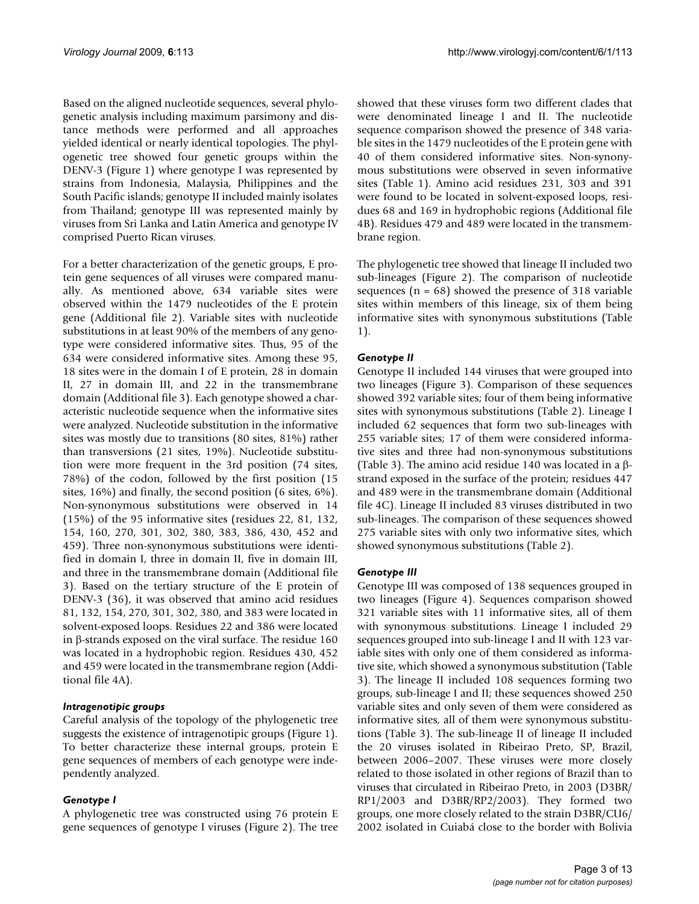Based on the aligned nucleotide sequences, several phylogenetic analysis including maximum parsimony and distance methods were performed and all approaches yielded identical or nearly identical topologies. The phylogenetic tree showed four genetic groups within the DENV-3 (Figure 1) where genotype I was represented by strains from Indonesia, Malaysia, Philippines and the South Pacific islands; genotype II included mainly isolates from Thailand; genotype III was represented mainly by viruses from Sri Lanka and Latin America and genotype IV comprised Puerto Rican viruses.

For a better characterization of the genetic groups, E protein gene sequences of all viruses were compared manually. As mentioned above, 634 variable sites were observed within the 1479 nucleotides of the E protein gene (Additional file 2). Variable sites with nucleotide substitutions in at least 90% of the members of any genotype were considered informative sites. Thus, 95 of the 634 were considered informative sites. Among these 95, 18 sites were in the domain I of E protein, 28 in domain II, 27 in domain III, and 22 in the transmembrane domain (Additional file 3). Each genotype showed a characteristic nucleotide sequence when the informative sites were analyzed. Nucleotide substitution in the informative sites was mostly due to transitions (80 sites, 81%) rather than transversions (21 sites, 19%). Nucleotide substitution were more frequent in the 3rd position (74 sites, 78%) of the codon, followed by the first position (15 sites, 16%) and finally, the second position (6 sites, 6%). Non-synonymous substitutions were observed in 14 (15%) of the 95 informative sites (residues 22, 81, 132, 154, 160, 270, 301, 302, 380, 383, 386, 430, 452 and 459). Three non-synonymous substitutions were identified in domain I, three in domain II, five in domain III, and three in the transmembrane domain (Additional file 3). Based on the tertiary structure of the E protein of DENV-3 (36), it was observed that amino acid residues 81, 132, 154, 270, 301, 302, 380, and 383 were located in solvent-exposed loops. Residues 22 and 386 were located in β-strands exposed on the viral surface. The residue 160 was located in a hydrophobic region. Residues 430, 452 and 459 were located in the transmembrane region (Additional file 4A).

# *Intragenotipic groups*

Careful analysis of the topology of the phylogenetic tree suggests the existence of intragenotipic groups (Figure 1). To better characterize these internal groups, protein E gene sequences of members of each genotype were independently analyzed.

# *Genotype I*

A phylogenetic tree was constructed using 76 protein E gene sequences of genotype I viruses (Figure 2). The tree showed that these viruses form two different clades that were denominated lineage I and II. The nucleotide sequence comparison showed the presence of 348 variable sites in the 1479 nucleotides of the E protein gene with 40 of them considered informative sites. Non-synonymous substitutions were observed in seven informative sites (Table 1). Amino acid residues 231, 303 and 391 were found to be located in solvent-exposed loops, residues 68 and 169 in hydrophobic regions (Additional file 4B). Residues 479 and 489 were located in the transmembrane region.

The phylogenetic tree showed that lineage II included two sub-lineages (Figure 2). The comparison of nucleotide sequences  $(n = 68)$  showed the presence of 318 variable sites within members of this lineage, six of them being informative sites with synonymous substitutions (Table 1).

# *Genotype II*

Genotype II included 144 viruses that were grouped into two lineages (Figure 3). Comparison of these sequences showed 392 variable sites; four of them being informative sites with synonymous substitutions (Table 2). Lineage I included 62 sequences that form two sub-lineages with 255 variable sites; 17 of them were considered informative sites and three had non-synonymous substitutions (Table 3). The amino acid residue 140 was located in a βstrand exposed in the surface of the protein; residues 447 and 489 were in the transmembrane domain (Additional file 4C). Lineage II included 83 viruses distributed in two sub-lineages. The comparison of these sequences showed 275 variable sites with only two informative sites, which showed synonymous substitutions (Table 2).

# *Genotype III*

Genotype III was composed of 138 sequences grouped in two lineages (Figure 4). Sequences comparison showed 321 variable sites with 11 informative sites, all of them with synonymous substitutions. Lineage I included 29 sequences grouped into sub-lineage I and II with 123 variable sites with only one of them considered as informative site, which showed a synonymous substitution (Table 3). The lineage II included 108 sequences forming two groups, sub-lineage I and II; these sequences showed 250 variable sites and only seven of them were considered as informative sites, all of them were synonymous substitutions (Table 3). The sub-lineage II of lineage II included the 20 viruses isolated in Ribeirao Preto, SP, Brazil, between 2006–2007. These viruses were more closely related to those isolated in other regions of Brazil than to viruses that circulated in Ribeirao Preto, in 2003 (D3BR/ RP1/2003 and D3BR/RP2/2003). They formed two groups, one more closely related to the strain D3BR/CU6/ 2002 isolated in Cuiabá close to the border with Bolivia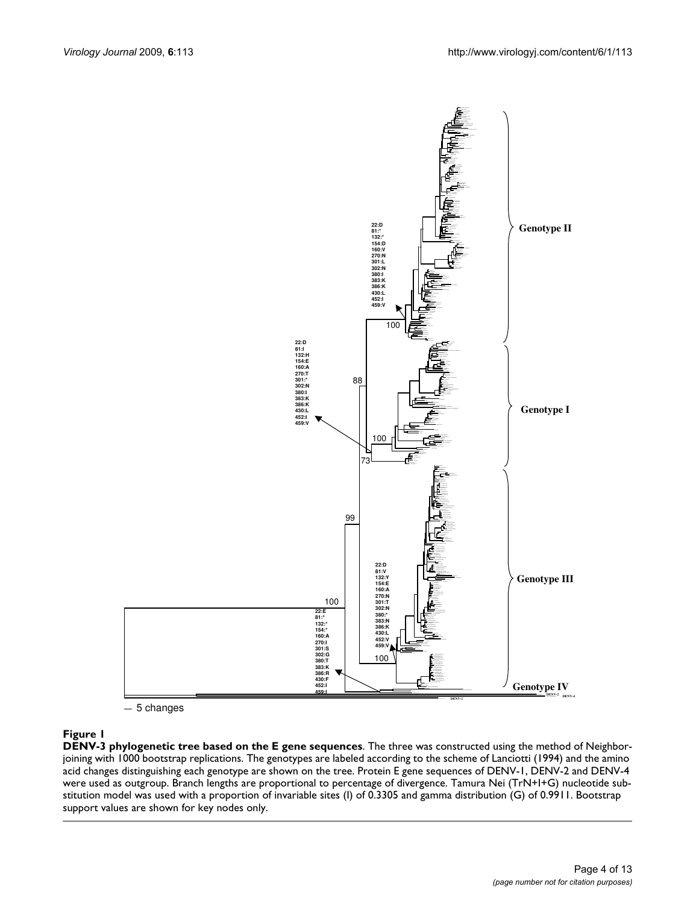

5 changes

# **Figure 1**

**DENV-3 phylogenetic tree based on the E gene sequences**. The three was constructed using the method of Neighborjoining with 1000 bootstrap replications. The genotypes are labeled according to the scheme of Lanciotti (1994) and the amino acid changes distinguishing each genotype are shown on the tree. Protein E gene sequences of DENV-1, DENV-2 and DENV-4 were used as outgroup. Branch lengths are proportional to percentage of divergence. Tamura Nei (TrN+I+G) nucleotide substitution model was used with a proportion of invariable sites (I) of 0.3305 and gamma distribution (G) of 0.9911. Bootstrap support values are shown for key nodes only.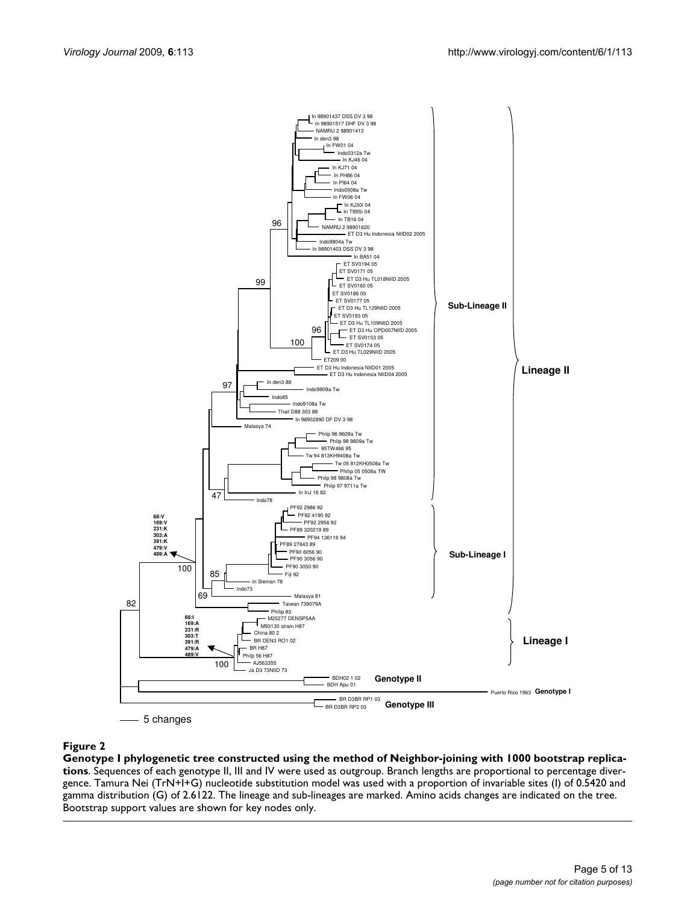

#### Genotype I phylogenetic tree constructe **Figure 2** d using the method of Neighbor-joining with 1000 bootstrap replications

**Genotype I phylogenetic tree constructed using the method of Neighbor-joining with 1000 bootstrap replications**. Sequences of each genotype II, III and IV were used as outgroup. Branch lengths are proportional to percentage divergence. Tamura Nei (TrN+I+G) nucleotide substitution model was used with a proportion of invariable sites (I) of 0.5420 and gamma distribution (G) of 2.6122. The lineage and sub-lineages are marked. Amino acids changes are indicated on the tree. Bootstrap support values are shown for key nodes only.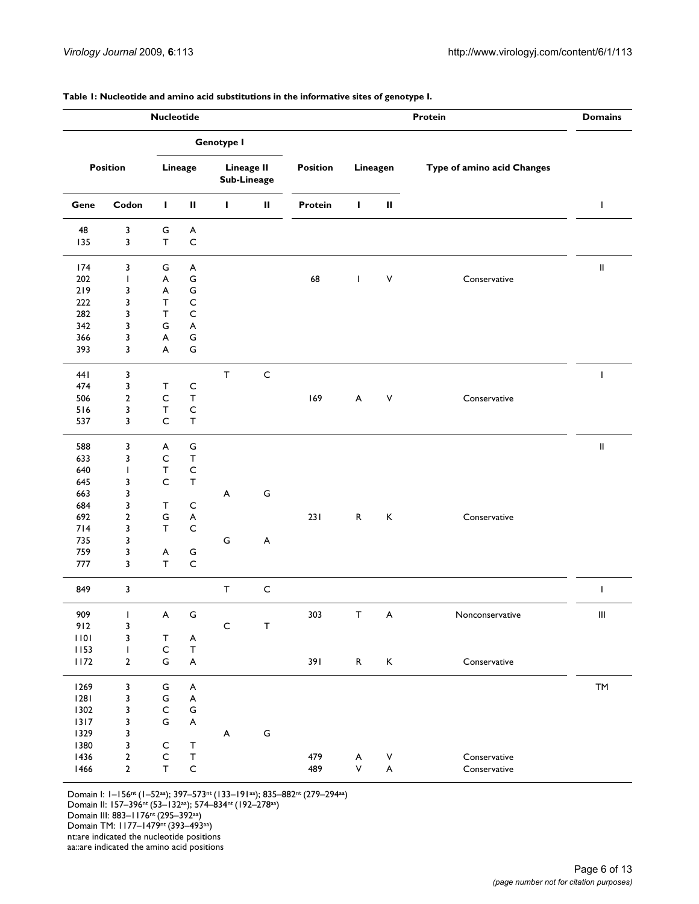**Table 1: Nucleotide and amino acid substitutions in the informative sites of genotype I.**

| <b>Nucleotide</b>                                              |                                                                       |                                                                           |                                                                                          |                   |                                  |                 | <b>Domains</b>    |                                |                              |                            |
|----------------------------------------------------------------|-----------------------------------------------------------------------|---------------------------------------------------------------------------|------------------------------------------------------------------------------------------|-------------------|----------------------------------|-----------------|-------------------|--------------------------------|------------------------------|----------------------------|
|                                                                |                                                                       |                                                                           |                                                                                          | <b>Genotype I</b> |                                  |                 |                   |                                |                              |                            |
|                                                                | <b>Position</b>                                                       |                                                                           | Lineage                                                                                  |                   | <b>Lineage II</b><br>Sub-Lineage | <b>Position</b> |                   | Lineagen                       | Type of amino acid Changes   |                            |
| Gene                                                           | Codon                                                                 | $\mathbf{I}$                                                              | Ш                                                                                        | L                 | $\mathbf{II}$                    | Protein         | $\mathbf{I}$      | $\mathbf H$                    |                              | $\mathsf{I}$               |
| 48<br>135                                                      | 3<br>3                                                                | G<br>$\mathsf T$                                                          | A<br>$\mathsf C$                                                                         |                   |                                  |                 |                   |                                |                              |                            |
| 174<br>202<br>219<br>222<br>282<br>342<br>366                  | 3<br>$\mathbf{I}$<br>3<br>3<br>3<br>3<br>3                            | G<br>A<br>A<br>$\mathsf{T}$<br>T<br>G<br>A                                | A<br>G<br>${\mathsf G}$<br>$\mathsf{C}$<br>$\mathsf C$<br>$\boldsymbol{\mathsf{A}}$<br>G |                   |                                  | 68              | $\mathbf{I}$      | $\vee$                         | Conservative                 | $\, \parallel$             |
| 393                                                            | 3                                                                     | A                                                                         | G                                                                                        |                   |                                  |                 |                   |                                |                              |                            |
| 441<br>474<br>506<br>516<br>537                                | 3<br>3<br>$\overline{2}$<br>3<br>3                                    | $\mathsf{T}$<br>$\mathsf{C}$<br>$\top$<br>$\mathsf{C}$                    | C<br>$\mathsf T$<br>C<br>$\mathsf{T}$                                                    | $\mathsf T$       | $\mathsf{C}$                     | 169             | A                 | $\mathsf{V}$                   | Conservative                 |                            |
| 588<br>633<br>640<br>645<br>663<br>684<br>692                  | 3<br>3<br>$\mathbf{I}$<br>3<br>3<br>3<br>$\overline{2}$               | A<br>$\mathsf{C}$<br>$\mathsf T$<br>$\mathsf C$<br>$\mathsf{T}$<br>G      | G<br>$\mathsf{T}$<br>$\mathsf{C}$<br>$\mathsf{T}$<br>C<br>A                              | A                 | G                                | 231             | $\mathsf{R}$      | $\mathsf K$                    | Conservative                 | $\ensuremath{\mathsf{II}}$ |
| 714<br>735<br>759<br>777                                       | 3<br>3<br>3<br>3                                                      | $\mathsf{T}$<br>A<br>T                                                    | $\mathsf C$<br>G<br>$\mathsf C$                                                          | G                 | A                                |                 |                   |                                |                              |                            |
| 849                                                            | $\overline{\mathbf{3}}$                                               |                                                                           |                                                                                          | $\mathsf{T}$      | $\mathsf{C}$                     |                 |                   |                                |                              | $\mathbf{I}$               |
| 909<br>912<br>1101<br>1153                                     | L<br>3<br>3<br>$\mathbf{I}$                                           | $\mathsf{A}$<br>$\mathsf T$<br>$\mathsf C$                                | G<br>A<br>Τ                                                                              | $\mathsf{C}$      | $\mathsf T$                      | 303             | T                 | A                              | Nonconservative              | $\mathbf{III}$             |
| 1172                                                           | $\boldsymbol{2}$                                                      | G                                                                         | $\boldsymbol{\mathsf{A}}$                                                                |                   |                                  | 391             | $\mathsf{R}$      | K                              | Conservative                 |                            |
| 1269<br>1281<br>1302<br>$1317$<br>1329<br>1380<br>1436<br>1466 | $\mathsf 3$<br>3<br>3<br>3<br>3<br>3<br>$\overline{2}$<br>$\mathbf 2$ | G<br>G<br>$\mathsf C$<br>G<br>$\mathsf{C}$<br>$\mathsf{C}$<br>$\mathsf T$ | $\boldsymbol{\mathsf{A}}$<br>A<br>G<br>A<br>T<br>T<br>$\mathsf C$                        | A                 | ${\mathsf G}$                    | 479<br>489      | A<br>$\mathsf{V}$ | V<br>$\boldsymbol{\mathsf{A}}$ | Conservative<br>Conservative | TM                         |

Domain I: 1–156nt (1–52aa); 397–573nt (133–191aa); 835–882nt (279–294aa)

Domain II: 157–396nt (53–132aa); 574–834nt (192–278aa)

Domain TM: 1177–1479nt (393–493aa)

nt:are indicated the nucleotide positions

aa::are indicated the amino acid positions

Domain III: 883–1176nt (295–392aa)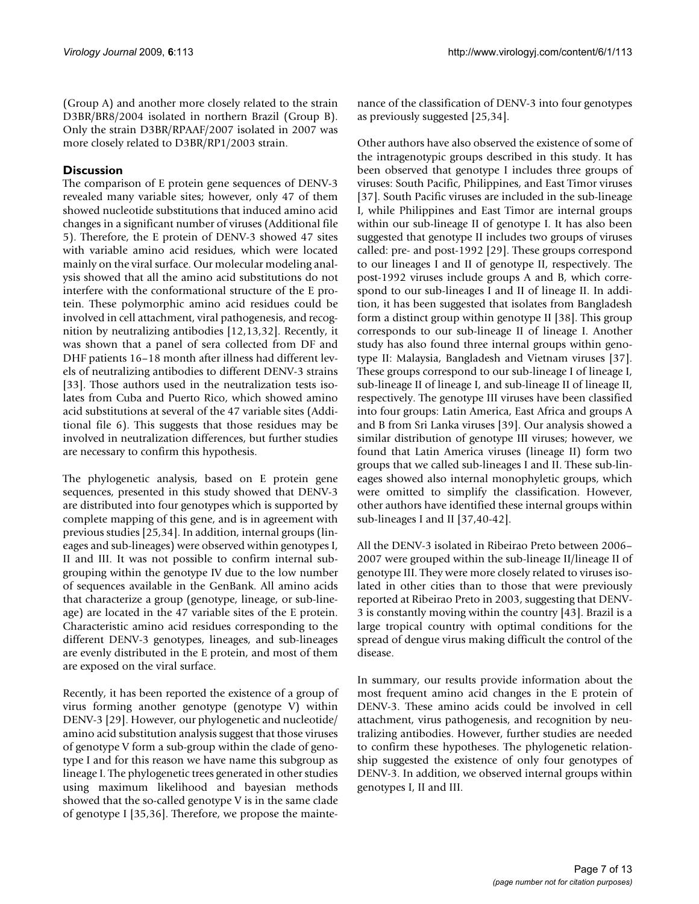(Group A) and another more closely related to the strain D3BR/BR8/2004 isolated in northern Brazil (Group B). Only the strain D3BR/RPAAF/2007 isolated in 2007 was more closely related to D3BR/RP1/2003 strain.

# **Discussion**

The comparison of E protein gene sequences of DENV-3 revealed many variable sites; however, only 47 of them showed nucleotide substitutions that induced amino acid changes in a significant number of viruses (Additional file 5). Therefore, the E protein of DENV-3 showed 47 sites with variable amino acid residues, which were located mainly on the viral surface. Our molecular modeling analysis showed that all the amino acid substitutions do not interfere with the conformational structure of the E protein. These polymorphic amino acid residues could be involved in cell attachment, viral pathogenesis, and recognition by neutralizing antibodies [12,13,32]. Recently, it was shown that a panel of sera collected from DF and DHF patients 16–18 month after illness had different levels of neutralizing antibodies to different DENV-3 strains [33]. Those authors used in the neutralization tests isolates from Cuba and Puerto Rico, which showed amino acid substitutions at several of the 47 variable sites (Additional file 6). This suggests that those residues may be involved in neutralization differences, but further studies are necessary to confirm this hypothesis.

The phylogenetic analysis, based on E protein gene sequences, presented in this study showed that DENV-3 are distributed into four genotypes which is supported by complete mapping of this gene, and is in agreement with previous studies [25,34]. In addition, internal groups (lineages and sub-lineages) were observed within genotypes I, II and III. It was not possible to confirm internal subgrouping within the genotype IV due to the low number of sequences available in the GenBank. All amino acids that characterize a group (genotype, lineage, or sub-lineage) are located in the 47 variable sites of the E protein. Characteristic amino acid residues corresponding to the different DENV-3 genotypes, lineages, and sub-lineages are evenly distributed in the E protein, and most of them are exposed on the viral surface.

Recently, it has been reported the existence of a group of virus forming another genotype (genotype V) within DENV-3 [29]. However, our phylogenetic and nucleotide/ amino acid substitution analysis suggest that those viruses of genotype V form a sub-group within the clade of genotype I and for this reason we have name this subgroup as lineage I. The phylogenetic trees generated in other studies using maximum likelihood and bayesian methods showed that the so-called genotype V is in the same clade of genotype I [35,36]. Therefore, we propose the maintenance of the classification of DENV-3 into four genotypes as previously suggested [25,34].

Other authors have also observed the existence of some of the intragenotypic groups described in this study. It has been observed that genotype I includes three groups of viruses: South Pacific, Philippines, and East Timor viruses [37]. South Pacific viruses are included in the sub-lineage I, while Philippines and East Timor are internal groups within our sub-lineage II of genotype I. It has also been suggested that genotype II includes two groups of viruses called: pre- and post-1992 [29]. These groups correspond to our lineages I and II of genotype II, respectively. The post-1992 viruses include groups A and B, which correspond to our sub-lineages I and II of lineage II. In addition, it has been suggested that isolates from Bangladesh form a distinct group within genotype II [38]. This group corresponds to our sub-lineage II of lineage I. Another study has also found three internal groups within genotype II: Malaysia, Bangladesh and Vietnam viruses [37]. These groups correspond to our sub-lineage I of lineage I, sub-lineage II of lineage I, and sub-lineage II of lineage II, respectively. The genotype III viruses have been classified into four groups: Latin America, East Africa and groups A and B from Sri Lanka viruses [39]. Our analysis showed a similar distribution of genotype III viruses; however, we found that Latin America viruses (lineage II) form two groups that we called sub-lineages I and II. These sub-lineages showed also internal monophyletic groups, which were omitted to simplify the classification. However, other authors have identified these internal groups within sub-lineages I and II [37,40-42].

All the DENV-3 isolated in Ribeirao Preto between 2006– 2007 were grouped within the sub-lineage II/lineage II of genotype III. They were more closely related to viruses isolated in other cities than to those that were previously reported at Ribeirao Preto in 2003, suggesting that DENV-3 is constantly moving within the country [43]. Brazil is a large tropical country with optimal conditions for the spread of dengue virus making difficult the control of the disease.

In summary, our results provide information about the most frequent amino acid changes in the E protein of DENV-3. These amino acids could be involved in cell attachment, virus pathogenesis, and recognition by neutralizing antibodies. However, further studies are needed to confirm these hypotheses. The phylogenetic relationship suggested the existence of only four genotypes of DENV-3. In addition, we observed internal groups within genotypes I, II and III.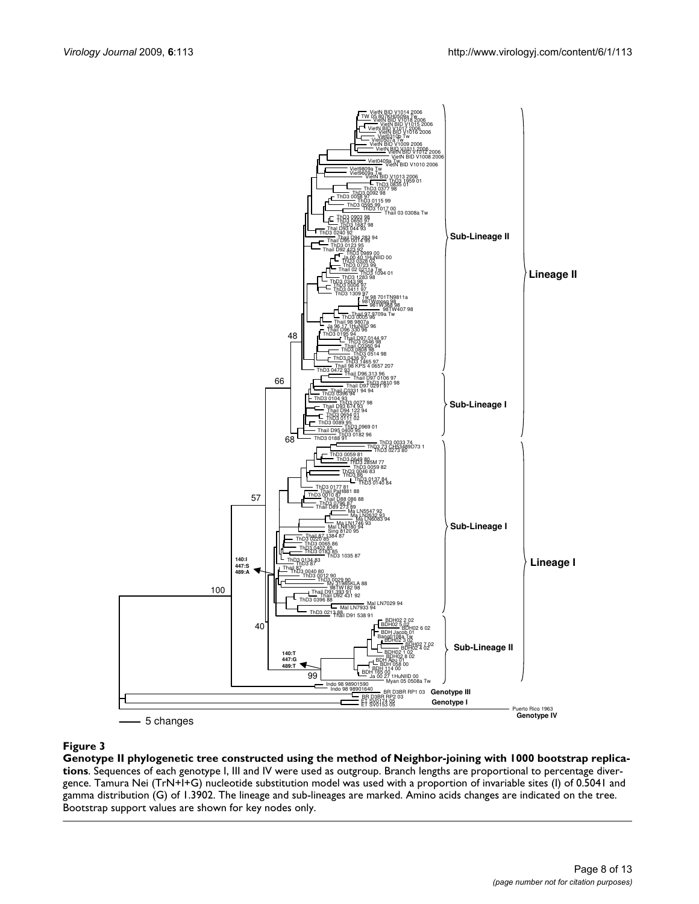

#### Genotype II phylogenetic tree constru **Figure 3** cted using the method of Neighbor-joining with 1000 bootstrap replications

**Genotype II phylogenetic tree constructed using the method of Neighbor-joining with 1000 bootstrap replications**. Sequences of each genotype I, III and IV were used as outgroup. Branch lengths are proportional to percentage divergence. Tamura Nei (TrN+I+G) nucleotide substitution model was used with a proportion of invariable sites (I) of 0.5041 and gamma distribution (G) of 1.3902. The lineage and sub-lineages are marked. Amino acids changes are indicated on the tree. Bootstrap support values are shown for key nodes only.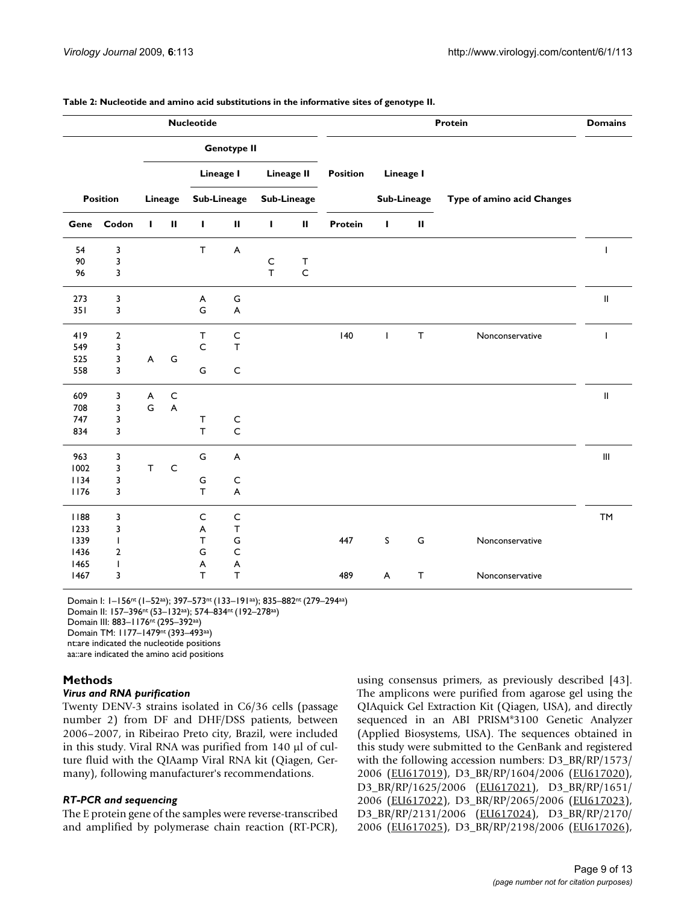| <b>Domains</b>                     | Protein                    |              |                  |          |                    | <b>Nucleotide</b> |                           |              |              |    |                 |      |
|------------------------------------|----------------------------|--------------|------------------|----------|--------------------|-------------------|---------------------------|--------------|--------------|----|-----------------|------|
|                                    |                            |              |                  |          |                    |                   | <b>Genotype II</b>        |              |              |    |                 |      |
|                                    |                            |              | <b>Lineage I</b> | Position |                    | <b>Lineage II</b> |                           | Lineage I    |              |    |                 |      |
|                                    | Type of amino acid Changes | Sub-Lineage  |                  |          | <b>Sub-Lineage</b> |                   | <b>Sub-Lineage</b>        |              | Lineage      |    | <b>Position</b> |      |
|                                    |                            | Ш            | L                | Protein  | $\mathbf{II}$      | L                 | $\mathbf H$               | J.           | $\mathbf H$  | I. | Codon           | Gene |
| $\mathbf{I}$                       |                            |              |                  |          |                    |                   | A                         | $\mathsf T$  |              |    | 3               | 54   |
|                                    |                            |              |                  |          | $\mathsf T$        | $\mathsf C$       |                           |              |              |    | 3               | 90   |
|                                    |                            |              |                  |          | $\mathsf C$        | $\top$            |                           |              |              |    | 3               | 96   |
| $\ensuremath{\mathsf{II}}$         |                            |              |                  |          |                    |                   | ${\mathsf G}$             | A            |              |    | 3               | 273  |
|                                    |                            |              |                  |          |                    |                   | $\boldsymbol{\mathsf{A}}$ | G            |              |    | 3               | 351  |
| ı                                  | Nonconservative            | $\mathsf T$  | T                | 140      |                    |                   | $\mathsf C$               | $\mathsf{T}$ |              |    | $\overline{2}$  | 419  |
|                                    |                            |              |                  |          |                    |                   | T                         | $\mathsf C$  |              |    | 3               | 549  |
|                                    |                            |              |                  |          |                    |                   |                           |              | G            | A  | 3               | 525  |
|                                    |                            |              |                  |          |                    |                   | $\mathsf C$               | G            |              |    | 3               | 558  |
| $\mathbf{I}$                       |                            |              |                  |          |                    |                   |                           |              | $\mathsf{C}$ | A  | 3               | 609  |
|                                    |                            |              |                  |          |                    |                   |                           |              | A            | G  | 3               | 708  |
|                                    |                            |              |                  |          |                    |                   | C                         | $\mathsf{T}$ |              |    | 3               | 747  |
|                                    |                            |              |                  |          |                    |                   | $\mathsf{C}$              | T            |              |    | 3               | 834  |
| $\ensuremath{\mathsf{III}}\xspace$ |                            |              |                  |          |                    |                   | A                         | G            |              |    | 3               | 963  |
|                                    |                            |              |                  |          |                    |                   |                           |              | C            | T  | 3               | 1002 |
|                                    |                            |              |                  |          |                    |                   | C                         | G            |              |    | 3               | 1134 |
|                                    |                            |              |                  |          |                    |                   | $\boldsymbol{\mathsf{A}}$ | $\top$       |              |    | 3               | 1176 |
| <b>TM</b>                          |                            |              |                  |          |                    |                   | $\mathsf C$               | C            |              |    | 3               | 1188 |
|                                    |                            |              |                  |          |                    |                   | $\mathsf T$               | A            |              |    | 3               | 1233 |
|                                    | Nonconservative            | G            | S                | 447      |                    |                   | G                         | т            |              |    | T               | 1339 |
|                                    |                            |              |                  |          |                    |                   | $\mathsf C$               | G            |              |    | 2               | 1436 |
|                                    |                            |              |                  |          |                    |                   | $\boldsymbol{\mathsf{A}}$ | A            |              |    | T               | 1465 |
|                                    | Nonconservative            | $\mathsf{T}$ | A                | 489      |                    |                   | $\mathsf T$               | T            |              |    | 3               | 1467 |

**Table 2: Nucleotide and amino acid substitutions in the informative sites of genotype II.**

Domain I: 1–156nt (1–52aa); 397–573nt (133–191aa); 835–882nt (279–294aa) Domain II: 157–396nt (53–132aa); 574–834nt (192–278aa) Domain III: 883–1176nt (295–392aa) Domain TM: 1177–1479nt (393–493aa)

nt:are indicated the nucleotide positions

aa::are indicated the amino acid positions

# **Methods**

# *Virus and RNA purification*

Twenty DENV-3 strains isolated in C6/36 cells (passage number 2) from DF and DHF/DSS patients, between 2006–2007, in Ribeirao Preto city, Brazil, were included in this study. Viral RNA was purified from 140 μl of culture fluid with the QIAamp Viral RNA kit (Qiagen, Germany), following manufacturer's recommendations.

# *RT-PCR and sequencing*

The E protein gene of the samples were reverse-transcribed and amplified by polymerase chain reaction (RT-PCR),

using consensus primers, as previously described [43]. The amplicons were purified from agarose gel using the QIAquick Gel Extraction Kit (Qiagen, USA), and directly sequenced in an ABI PRISM®3100 Genetic Analyzer (Applied Biosystems, USA). The sequences obtained in this study were submitted to the GenBank and registered with the following accession numbers: D3\_BR/RP/1573/ 2006 ([EU617019](http://www.ncbi.nih.gov/entrez/query.fcgi?db=Nucleotide&cmd=search&term=EU617019)), D3\_BR/RP/1604/2006 [\(EU617020\)](http://www.ncbi.nih.gov/entrez/query.fcgi?db=Nucleotide&cmd=search&term=EU617020), D3\_BR/RP/1625/2006 [\(EU617021\)](http://www.ncbi.nih.gov/entrez/query.fcgi?db=Nucleotide&cmd=search&term=EU617021), D3\_BR/RP/1651/ 2006 ([EU617022](http://www.ncbi.nih.gov/entrez/query.fcgi?db=Nucleotide&cmd=search&term=EU617022)), D3\_BR/RP/2065/2006 [\(EU617023\)](http://www.ncbi.nih.gov/entrez/query.fcgi?db=Nucleotide&cmd=search&term=EU617023), D3\_BR/RP/2131/2006 [\(EU617024\)](http://www.ncbi.nih.gov/entrez/query.fcgi?db=Nucleotide&cmd=search&term=EU617024), D3\_BR/RP/2170/ 2006 ([EU617025](http://www.ncbi.nih.gov/entrez/query.fcgi?db=Nucleotide&cmd=search&term=EU617025)), D3\_BR/RP/2198/2006 [\(EU617026\)](http://www.ncbi.nih.gov/entrez/query.fcgi?db=Nucleotide&cmd=search&term=EU617026),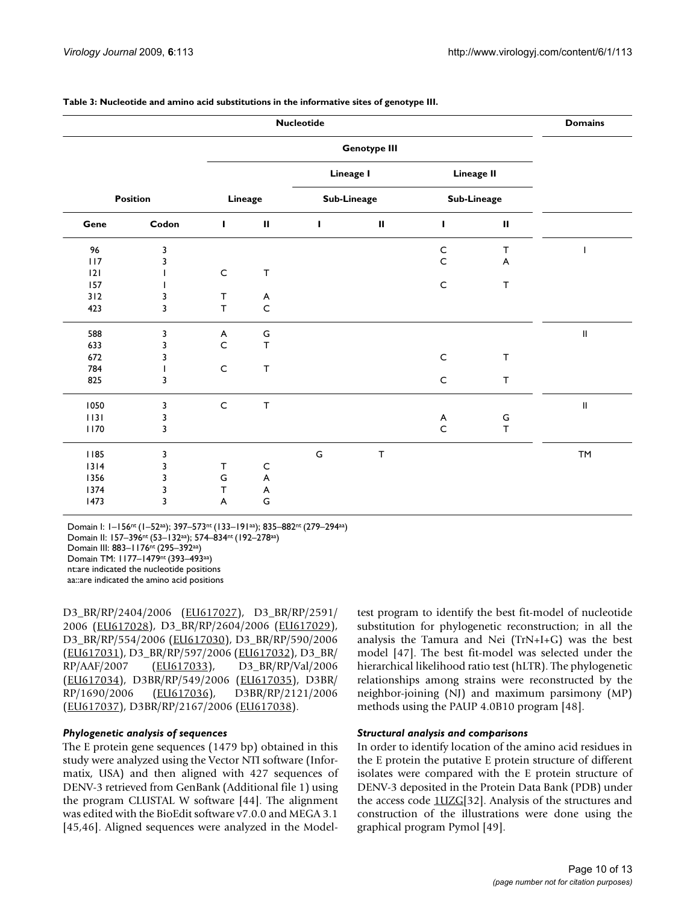|                 |       |              |                           | <b>Nucleotide</b> |             |              |                   | <b>Domains</b> |
|-----------------|-------|--------------|---------------------------|-------------------|-------------|--------------|-------------------|----------------|
|                 |       |              |                           |                   |             |              |                   |                |
|                 |       |              |                           | Lineage I         |             |              | <b>Lineage II</b> |                |
| <b>Position</b> |       | Lineage      |                           | Sub-Lineage       |             |              | Sub-Lineage       |                |
| Gene            | Codon | L            | $\mathbf H$               | T                 | $\mathbf H$ | т            | $\sf II$          |                |
| 96              | 3     |              |                           |                   |             | $\mathsf{C}$ | $\mathsf T$       |                |
| 117             | 3     |              |                           |                   |             | $\mathsf C$  | A                 |                |
| 2               |       | $\mathsf C$  | $\mathsf T$               |                   |             |              |                   |                |
| 157             |       |              |                           |                   |             | $\mathsf{C}$ | $\mathsf T$       |                |
| 312             | 3     | T            | $\boldsymbol{\mathsf{A}}$ |                   |             |              |                   |                |
| 423             | 3     | T            | $\mathsf C$               |                   |             |              |                   |                |
| 588             | 3     | A            | ${\mathsf G}$             |                   |             |              |                   | Ш              |
| 633             | 3     | $\mathsf C$  | $\mathsf T$               |                   |             |              |                   |                |
| 672             | 3     |              |                           |                   |             | $\mathsf{C}$ | $\mathsf T$       |                |
| 784             |       | $\mathsf C$  | $\mathsf T$               |                   |             |              |                   |                |
| 825             | 3     |              |                           |                   |             | $\mathsf C$  | T                 |                |
| 1050            | 3     | $\mathsf{C}$ | $\mathsf T$               |                   |             |              |                   | $\sf II$       |
| 1131            | 3     |              |                           |                   |             | A            | G                 |                |
| 1170            | 3     |              |                           |                   |             | $\mathsf C$  | $\mathsf T$       |                |
| 1185            | 3     |              |                           | ${\mathsf G}$     | $\mathsf T$ |              |                   | <b>TM</b>      |
| $1314$          | 3     | $\mathsf{T}$ | C                         |                   |             |              |                   |                |
| 1356            | 3     | G            | A                         |                   |             |              |                   |                |
| 1374            | 3     | T            | A                         |                   |             |              |                   |                |
| 1473            | 3     | A            | G                         |                   |             |              |                   |                |

#### **Table 3: Nucleotide and amino acid substitutions in the informative sites of genotype III.**

Domain I: 1–156nt (1–52aa); 397–573nt (133–191aa); 835–882nt (279–294aa) Domain II: 157–396nt (53–132aa); 574–834nt (192–278aa) Domain III: 883–1176nt (295–392aa) Domain TM: 1177–1479nt (393–493aa) nt:are indicated the nucleotide positions aa::are indicated the amino acid positions

D3\_BR/RP/2404/2006 ([EU617027\)](http://www.ncbi.nih.gov/entrez/query.fcgi?db=Nucleotide&cmd=search&term=EU617027), D3\_BR/RP/2591/ 2006 ([EU617028](http://www.ncbi.nih.gov/entrez/query.fcgi?db=Nucleotide&cmd=search&term=EU617028)), D3\_BR/RP/2604/2006 [\(EU617029\)](http://www.ncbi.nih.gov/entrez/query.fcgi?db=Nucleotide&cmd=search&term=EU617029), D3\_BR/RP/554/2006 ([EU617030\)](http://www.ncbi.nih.gov/entrez/query.fcgi?db=Nucleotide&cmd=search&term=EU617030), D3\_BR/RP/590/2006 [\(EU617031](http://www.ncbi.nih.gov/entrez/query.fcgi?db=Nucleotide&cmd=search&term=EU617031)), D3\_BR/RP/597/2006 ([EU617032](http://www.ncbi.nih.gov/entrez/query.fcgi?db=Nucleotide&cmd=search&term=EU617032)), D3\_BR/ RP/AAF/2007 ([EU617033](http://www.ncbi.nih.gov/entrez/query.fcgi?db=Nucleotide&cmd=search&term=EU617033)), D3\_BR/RP/Val/2006 [\(EU617034](http://www.ncbi.nih.gov/entrez/query.fcgi?db=Nucleotide&cmd=search&term=EU617034)), D3BR/RP/549/2006 ([EU617035\)](http://www.ncbi.nih.gov/entrez/query.fcgi?db=Nucleotide&cmd=search&term=EU617035), D3BR/ RP/1690/2006 ([EU617036\)](http://www.ncbi.nih.gov/entrez/query.fcgi?db=Nucleotide&cmd=search&term=EU617036), D3BR/RP/2121/2006 [\(EU617037](http://www.ncbi.nih.gov/entrez/query.fcgi?db=Nucleotide&cmd=search&term=EU617037)), D3BR/RP/2167/2006 [\(EU617038](http://www.ncbi.nih.gov/entrez/query.fcgi?db=Nucleotide&cmd=search&term=EU617038)).

#### *Phylogenetic analysis of sequences*

The E protein gene sequences (1479 bp) obtained in this study were analyzed using the Vector NTI software (Informatix, USA) and then aligned with 427 sequences of DENV-3 retrieved from GenBank (Additional file 1) using the program CLUSTAL W software [44]. The alignment was edited with the BioEdit software v7.0.0 and MEGA 3.1 [45,46]. Aligned sequences were analyzed in the Modeltest program to identify the best fit-model of nucleotide substitution for phylogenetic reconstruction; in all the analysis the Tamura and Nei (TrN+I+G) was the best model [47]. The best fit-model was selected under the hierarchical likelihood ratio test (hLTR). The phylogenetic relationships among strains were reconstructed by the neighbor-joining (NJ) and maximum parsimony (MP) methods using the PAUP 4.0B10 program [48].

#### *Structural analysis and comparisons*

In order to identify location of the amino acid residues in the E protein the putative E protein structure of different isolates were compared with the E protein structure of DENV-3 deposited in the Protein Data Bank (PDB) under the access code [1UZG](http://www.rcsb.org/pdb/cgi/explore.cgi?pdbId=1UZG)[32]. Analysis of the structures and construction of the illustrations were done using the graphical program Pymol [49].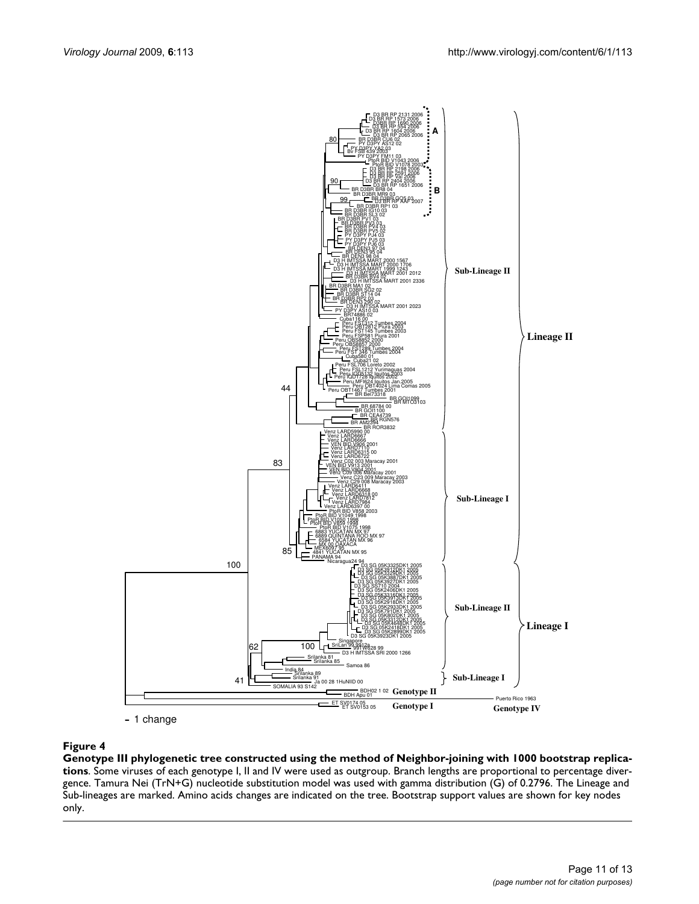

# **Figure 4** Genetic tree constructed using the method of Neighbor-joining with 1000 bootstrap replications with 1000 bootstrap replications with 1000 bootstrap replications with 1000 bootstrap replications with 1000 bootstr

**Genotype III phylogenetic tree constructed using the method of Neighbor-joining with 1000 bootstrap replications**. Some viruses of each genotype I, II and IV were used as outgroup. Branch lengths are proportional to percentage divergence. Tamura Nei (TrN+G) nucleotide substitution model was used with gamma distribution (G) of 0.2796. The Lineage and Sub-lineages are marked. Amino acids changes are indicated on the tree. Bootstrap support values are shown for key nodes only.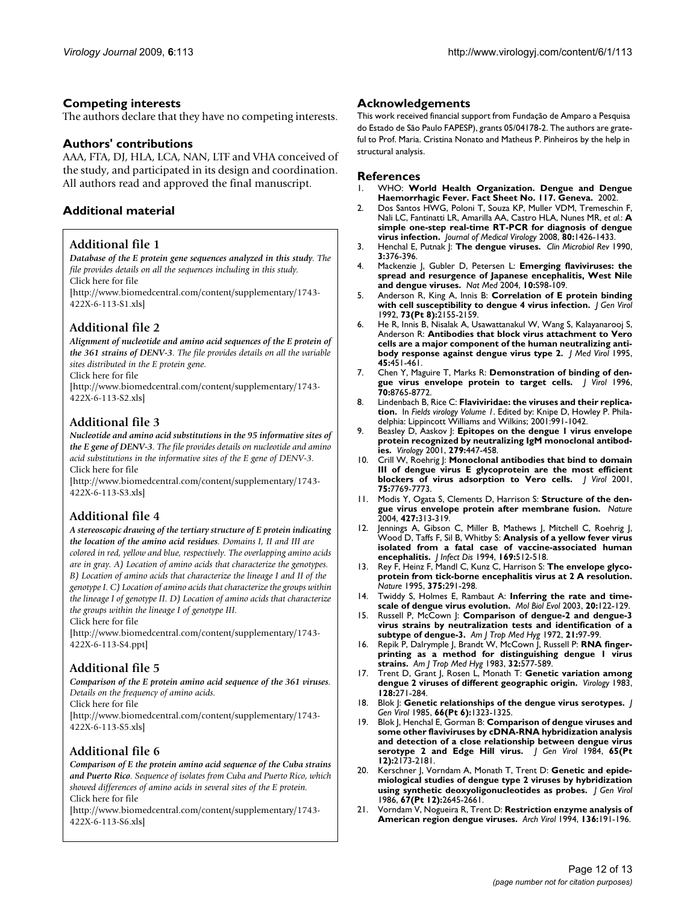# **Competing interests**

The authors declare that they have no competing interests.

# **Authors' contributions**

AAA, FTA, DJ, HLA, LCA, NAN, LTF and VHA conceived of the study, and participated in its design and coordination. All authors read and approved the final manuscript.

# **Additional material**

# **Additional file 1**

*Database of the E protein gene sequences analyzed in this study. The file provides details on all the sequences including in this study.* Click here for file

[\[http://www.biomedcentral.com/content/supplementary/1743-](http://www.biomedcentral.com/content/supplementary/1743-422X-6-113-S1.xls) 422X-6-113-S1.xls]

# **Additional file 2**

*Alignment of nucleotide and amino acid sequences of the E protein of the 361 strains of DENV-3. The file provides details on all the variable sites distributed in the E protein gene.*

Click here for file

[\[http://www.biomedcentral.com/content/supplementary/1743-](http://www.biomedcentral.com/content/supplementary/1743-422X-6-113-S2.xls) 422X-6-113-S2.xls]

# **Additional file 3**

*Nucleotide and amino acid substitutions in the 95 informative sites of the E gene of DENV-3. The file provides details on nucleotide and amino acid substitutions in the informative sites of the E gene of DENV-3.* Click here for file

[\[http://www.biomedcentral.com/content/supplementary/1743-](http://www.biomedcentral.com/content/supplementary/1743-422X-6-113-S3.xls) 422X-6-113-S3.xls]

# **Additional file 4**

*A stereoscopic drawing of the tertiary structure of E protein indicating the location of the amino acid residues. Domains I, II and III are colored in red, yellow and blue, respectively. The overlapping amino acids are in gray. A) Location of amino acids that characterize the genotypes. B) Location of amino acids that characterize the lineage I and II of the genotype I. C) Location of amino acids that characterize the groups within the lineage I of genotype II. D) Location of amino acids that characterize the groups within the lineage I of genotype III.*

Click here for file

[\[http://www.biomedcentral.com/content/supplementary/1743-](http://www.biomedcentral.com/content/supplementary/1743-422X-6-113-S4.ppt) 422X-6-113-S4.ppt]

# **Additional file 5**

*Comparison of the E protein amino acid sequence of the 361 viruses. Details on the frequency of amino acids.*

Click here for file

[\[http://www.biomedcentral.com/content/supplementary/1743-](http://www.biomedcentral.com/content/supplementary/1743-422X-6-113-S5.xls) 422X-6-113-S5.xls]

# **Additional file 6**

*Comparison of E the protein amino acid sequence of the Cuba strains and Puerto Rico. Sequence of isolates from Cuba and Puerto Rico, which showed differences of amino acids in several sites of the E protein.* Click here for file

[\[http://www.biomedcentral.com/content/supplementary/1743-](http://www.biomedcentral.com/content/supplementary/1743-422X-6-113-S6.xls) 422X-6-113-S6.xls]

# **Acknowledgements**

This work received financial support from Fundação de Amparo a Pesquisa do Estado de São Paulo FAPESP), grants 05/04178-2. The authors are grateful to Prof. Maria. Cristina Nonato and Matheus P. Pinheiros by the help in structural analysis.

#### **References**

- 1. WHO: **World Health Organization. Dengue and Dengue Haemorrhagic Fever. Fact Sheet No. 117. Geneva.** 2002.
- 2. Dos Santos HWG, Poloni T, Souza KP, Muller VDM, Tremeschin F, Nali LC, Fantinatti LR, Amarilla AA, Castro HLA, Nunes MR, *et al.*: **[A](http://www.ncbi.nlm.nih.gov/entrez/query.fcgi?cmd=Retrieve&db=PubMed&dopt=Abstract&list_uids=18551599) [simple one-step real-time RT-PCR for diagnosis of dengue](http://www.ncbi.nlm.nih.gov/entrez/query.fcgi?cmd=Retrieve&db=PubMed&dopt=Abstract&list_uids=18551599) [virus infection.](http://www.ncbi.nlm.nih.gov/entrez/query.fcgi?cmd=Retrieve&db=PubMed&dopt=Abstract&list_uids=18551599)** *Journal of Medical Virology* 2008, **80:**1426-1433.
- 3. Henchal E, Putnak J: **[The dengue viruses.](http://www.ncbi.nlm.nih.gov/entrez/query.fcgi?cmd=Retrieve&db=PubMed&dopt=Abstract&list_uids=2224837)** *Clin Microbiol Rev* 1990, **3:**376-396.
- 4. Mackenzie J, Gubler D, Petersen L: **[Emerging flaviviruses: the](http://www.ncbi.nlm.nih.gov/entrez/query.fcgi?cmd=Retrieve&db=PubMed&dopt=Abstract&list_uids=15577938) [spread and resurgence of Japanese encephalitis, West Nile](http://www.ncbi.nlm.nih.gov/entrez/query.fcgi?cmd=Retrieve&db=PubMed&dopt=Abstract&list_uids=15577938) [and dengue viruses.](http://www.ncbi.nlm.nih.gov/entrez/query.fcgi?cmd=Retrieve&db=PubMed&dopt=Abstract&list_uids=15577938)** *Nat Med* 2004, **10:**S98-109.
- 5. Anderson R, King A, Innis B: **[Correlation of E protein binding](http://www.ncbi.nlm.nih.gov/entrez/query.fcgi?cmd=Retrieve&db=PubMed&dopt=Abstract&list_uids=1645154) [with cell susceptibility to dengue 4 virus infection.](http://www.ncbi.nlm.nih.gov/entrez/query.fcgi?cmd=Retrieve&db=PubMed&dopt=Abstract&list_uids=1645154)** *J Gen Virol* 1992, **73(Pt 8):**2155-2159.
- 6. He R, Innis B, Nisalak A, Usawattanakul W, Wang S, Kalayanarooj S, Anderson R: **[Antibodies that block virus attachment to Vero](http://www.ncbi.nlm.nih.gov/entrez/query.fcgi?cmd=Retrieve&db=PubMed&dopt=Abstract&list_uids=7666046) [cells are a major component of the human neutralizing anti](http://www.ncbi.nlm.nih.gov/entrez/query.fcgi?cmd=Retrieve&db=PubMed&dopt=Abstract&list_uids=7666046)[body response against dengue virus type 2.](http://www.ncbi.nlm.nih.gov/entrez/query.fcgi?cmd=Retrieve&db=PubMed&dopt=Abstract&list_uids=7666046)** *J Med Virol* 1995, **45:**451-461.
- 7. Chen Y, Maguire T, Marks R: **[Demonstration of binding of den](http://www.ncbi.nlm.nih.gov/entrez/query.fcgi?cmd=Retrieve&db=PubMed&dopt=Abstract&list_uids=8971005)[gue virus envelope protein to target cells.](http://www.ncbi.nlm.nih.gov/entrez/query.fcgi?cmd=Retrieve&db=PubMed&dopt=Abstract&list_uids=8971005)** *J Virol* 1996, **70:**8765-8772.
- 8. Lindenbach B, Rice C: **Flaviviridae: the viruses and their replication.** In *Fields virology Volume 1*. Edited by: Knipe D, Howley P. Philadelphia: Lippincott Williams and Wilkins; 2001:991-1042.
- 9. Beasley D, Aaskov J: **[Epitopes on the dengue 1 virus envelope](http://www.ncbi.nlm.nih.gov/entrez/query.fcgi?cmd=Retrieve&db=PubMed&dopt=Abstract&list_uids=11162801) [protein recognized by neutralizing IgM monoclonal antibod](http://www.ncbi.nlm.nih.gov/entrez/query.fcgi?cmd=Retrieve&db=PubMed&dopt=Abstract&list_uids=11162801)[ies.](http://www.ncbi.nlm.nih.gov/entrez/query.fcgi?cmd=Retrieve&db=PubMed&dopt=Abstract&list_uids=11162801)** *Virology* 2001, **279:**447-458.
- 10. Crill W, Roehrig J: **[Monoclonal antibodies that bind to domain](http://www.ncbi.nlm.nih.gov/entrez/query.fcgi?cmd=Retrieve&db=PubMed&dopt=Abstract&list_uids=11462053) [III of dengue virus E glycoprotein are the most efficient](http://www.ncbi.nlm.nih.gov/entrez/query.fcgi?cmd=Retrieve&db=PubMed&dopt=Abstract&list_uids=11462053) [blockers of virus adsorption to Vero cells.](http://www.ncbi.nlm.nih.gov/entrez/query.fcgi?cmd=Retrieve&db=PubMed&dopt=Abstract&list_uids=11462053)** *J Virol* 2001, **75:**7769-7773.
- 11. Modis Y, Ogata S, Clements D, Harrison S: **[Structure of the den](http://www.ncbi.nlm.nih.gov/entrez/query.fcgi?cmd=Retrieve&db=PubMed&dopt=Abstract&list_uids=14737159)[gue virus envelope protein after membrane fusion.](http://www.ncbi.nlm.nih.gov/entrez/query.fcgi?cmd=Retrieve&db=PubMed&dopt=Abstract&list_uids=14737159)** *Nature* 2004, **427:**313-319.
- 12. Jennings A, Gibson C, Miller B, Mathews J, Mitchell C, Roehrig J, Wood D, Taffs F, Sil B, Whitby S: **[Analysis of a yellow fever virus](http://www.ncbi.nlm.nih.gov/entrez/query.fcgi?cmd=Retrieve&db=PubMed&dopt=Abstract&list_uids=7908925) [isolated from a fatal case of vaccine-associated human](http://www.ncbi.nlm.nih.gov/entrez/query.fcgi?cmd=Retrieve&db=PubMed&dopt=Abstract&list_uids=7908925) [encephalitis.](http://www.ncbi.nlm.nih.gov/entrez/query.fcgi?cmd=Retrieve&db=PubMed&dopt=Abstract&list_uids=7908925)** *J Infect Dis* 1994, **169:**512-518.
- 13. Rey F, Heinz F, Mandl C, Kunz C, Harrison S: **[The envelope glyco](http://www.ncbi.nlm.nih.gov/entrez/query.fcgi?cmd=Retrieve&db=PubMed&dopt=Abstract&list_uids=7753193)[protein from tick-borne encephalitis virus at 2 A resolution.](http://www.ncbi.nlm.nih.gov/entrez/query.fcgi?cmd=Retrieve&db=PubMed&dopt=Abstract&list_uids=7753193)** *Nature* 1995, **375:**291-298.
- 14. Twiddy S, Holmes E, Rambaut A: **[Inferring the rate and time](http://www.ncbi.nlm.nih.gov/entrez/query.fcgi?cmd=Retrieve&db=PubMed&dopt=Abstract&list_uids=12519914)[scale of dengue virus evolution.](http://www.ncbi.nlm.nih.gov/entrez/query.fcgi?cmd=Retrieve&db=PubMed&dopt=Abstract&list_uids=12519914)** *Mol Biol Evol* 2003, **20:**122-129.
- 15. Russell P, McCown J: **[Comparison of dengue-2 and dengue-3](http://www.ncbi.nlm.nih.gov/entrez/query.fcgi?cmd=Retrieve&db=PubMed&dopt=Abstract&list_uids=5061690) [virus strains by neutralization tests and identification of a](http://www.ncbi.nlm.nih.gov/entrez/query.fcgi?cmd=Retrieve&db=PubMed&dopt=Abstract&list_uids=5061690) [subtype of dengue-3.](http://www.ncbi.nlm.nih.gov/entrez/query.fcgi?cmd=Retrieve&db=PubMed&dopt=Abstract&list_uids=5061690)** *Am J Trop Med Hyg* 1972, **21:**97-99.
- 16. Repik P, Dalrymple J, Brandt W, McCown J, Russell P: **[RNA finger](http://www.ncbi.nlm.nih.gov/entrez/query.fcgi?cmd=Retrieve&db=PubMed&dopt=Abstract&list_uids=6859403)[printing as a method for distinguishing dengue 1 virus](http://www.ncbi.nlm.nih.gov/entrez/query.fcgi?cmd=Retrieve&db=PubMed&dopt=Abstract&list_uids=6859403) [strains.](http://www.ncbi.nlm.nih.gov/entrez/query.fcgi?cmd=Retrieve&db=PubMed&dopt=Abstract&list_uids=6859403)** *Am J Trop Med Hyg* 1983, **32:**577-589.
- 17. Trent D, Grant J, Rosen L, Monath T: **[Genetic variation among](http://www.ncbi.nlm.nih.gov/entrez/query.fcgi?cmd=Retrieve&db=PubMed&dopt=Abstract&list_uids=6612990) [dengue 2 viruses of different geographic origin.](http://www.ncbi.nlm.nih.gov/entrez/query.fcgi?cmd=Retrieve&db=PubMed&dopt=Abstract&list_uids=6612990)** *Virology* 1983, **128:**271-284.
- 18. Blok J: **[Genetic relationships of the dengue virus serotypes.](http://www.ncbi.nlm.nih.gov/entrez/query.fcgi?cmd=Retrieve&db=PubMed&dopt=Abstract&list_uids=3839253)** *J Gen Virol* 1985, **66(Pt 6):**1323-1325.
- 19. Blok J, Henchal E, Gorman B: **[Comparison of dengue viruses and](http://www.ncbi.nlm.nih.gov/entrez/query.fcgi?cmd=Retrieve&db=PubMed&dopt=Abstract&list_uids=6210345) [some other flaviviruses by cDNA-RNA hybridization analysis](http://www.ncbi.nlm.nih.gov/entrez/query.fcgi?cmd=Retrieve&db=PubMed&dopt=Abstract&list_uids=6210345) and detection of a close relationship between dengue virus [serotype 2 and Edge Hill virus.](http://www.ncbi.nlm.nih.gov/entrez/query.fcgi?cmd=Retrieve&db=PubMed&dopt=Abstract&list_uids=6210345)** *J Gen Virol* 1984, **65(Pt 12):**2173-2181.
- 20. Kerschner J, Vorndam A, Monath T, Trent D: **[Genetic and epide](http://www.ncbi.nlm.nih.gov/entrez/query.fcgi?cmd=Retrieve&db=PubMed&dopt=Abstract&list_uids=3794663)[miological studies of dengue type 2 viruses by hybridization](http://www.ncbi.nlm.nih.gov/entrez/query.fcgi?cmd=Retrieve&db=PubMed&dopt=Abstract&list_uids=3794663) [using synthetic deoxyoligonucleotides as probes.](http://www.ncbi.nlm.nih.gov/entrez/query.fcgi?cmd=Retrieve&db=PubMed&dopt=Abstract&list_uids=3794663)** *J Gen Virol* 1986, **67(Pt 12):**2645-2661.
- 21. Vorndam V, Nogueira R, Trent D: **[Restriction enzyme analysis of](http://www.ncbi.nlm.nih.gov/entrez/query.fcgi?cmd=Retrieve&db=PubMed&dopt=Abstract&list_uids=7516146) [American region dengue viruses.](http://www.ncbi.nlm.nih.gov/entrez/query.fcgi?cmd=Retrieve&db=PubMed&dopt=Abstract&list_uids=7516146)** *Arch Virol* 1994, **136:**191-196.